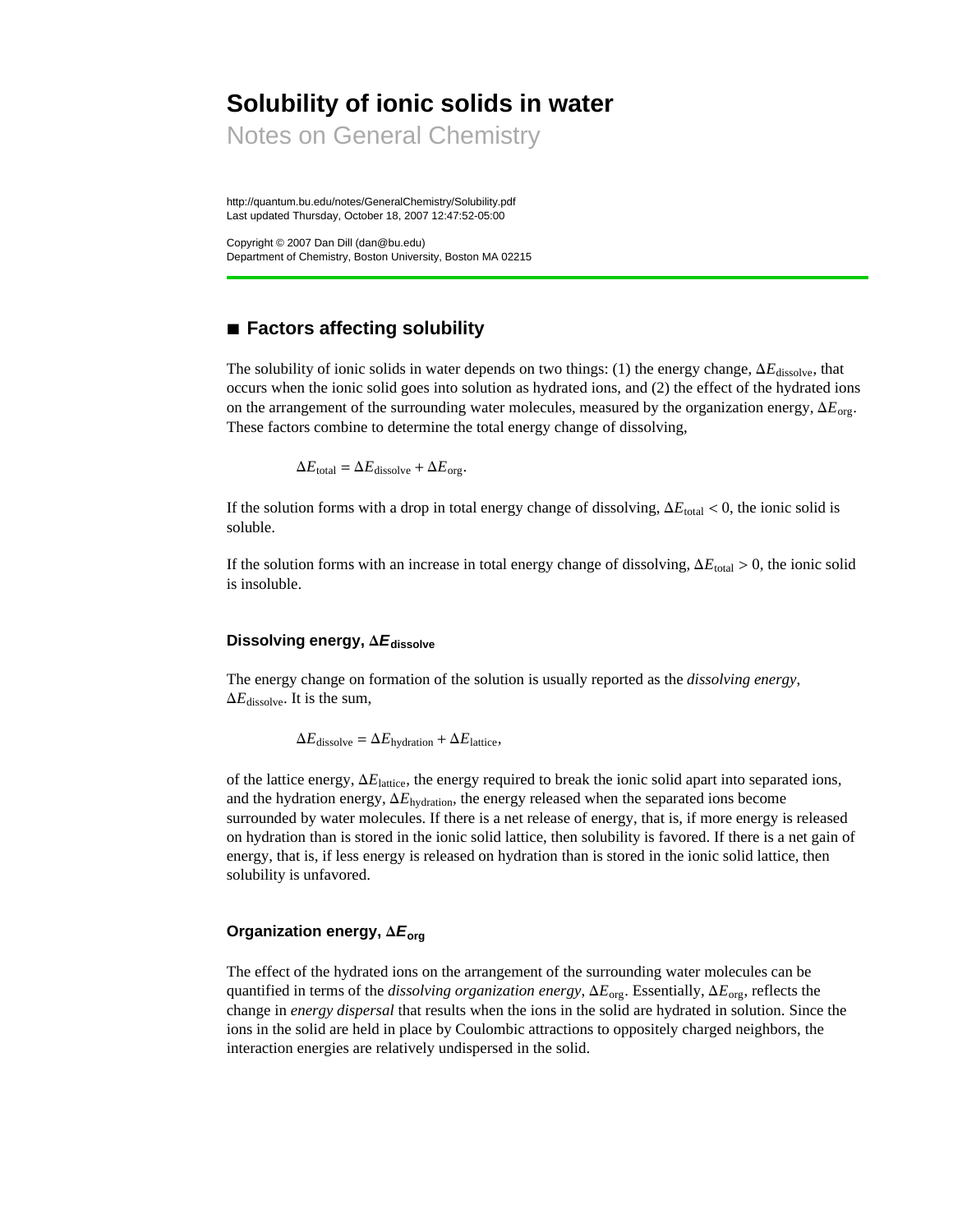# **Solubility of ionic solids in water**

Notes on General Chemistry

http://quantum.bu.edu/notes/GeneralChemistry/Solubility.pdf Last updated Thursday, October 18, 2007 12:47:52-05:00

Copyright © 2007 Dan Dill (dan@bu.edu) Department of Chemistry, Boston University, Boston MA 02215

# **à Factors affecting solubility**

The solubility of ionic solids in water depends on two things: (1) the energy change,  $\Delta E_{\text{dissolve}}$ , that occurs when the ionic solid goes into solution as hydrated ions, and (2) the effect of the hydrated ions on the arrangement of the surrounding water molecules, measured by the organization energy,  $\Delta E_{\text{ore}}$ . These factors combine to determine the total energy change of dissolving,

 $\Delta E_{\text{total}} = \Delta E_{\text{dissolve}} + \Delta E_{\text{org}}.$ 

If the solution forms with a drop in total energy change of dissolving,  $\Delta E_{total} < 0$ , the ionic solid is soluble.

If the solution forms with an increase in total energy change of dissolving,  $\Delta E_{\text{total}} > 0$ , the ionic solid is insoluble.

### **Dissolving energy, D***E***dissolve**

The energy change on formation of the solution is usually reported as the *dissolving energy*,  $\Delta E_{\text{dissolve}}$ . It is the sum,

 $\Delta E_{\text{dissolve}} = \Delta E_{\text{hydro}} + \Delta E_{\text{lattice}}$ 

of the lattice energy,  $\Delta E_{\text{lattice}}$ , the energy required to break the ionic solid apart into separated ions, and the hydration energy,  $\Delta E_{\text{hydration}}$ , the energy released when the separated ions become surrounded by water molecules. If there is a net release of energy, that is, if more energy is released on hydration than is stored in the ionic solid lattice, then solubility is favored. If there is a net gain of energy, that is, if less energy is released on hydration than is stored in the ionic solid lattice, then solubility is unfavored.

#### **Organization energy,**  $\Delta E_{\text{org}}$

The effect of the hydrated ions on the arrangement of the surrounding water molecules can be quantified in terms of the *dissolving organization energy*,  $\Delta E_{\text{org}}$ . Essentially,  $\Delta E_{\text{org}}$ , reflects the change in *energy dispersal* that results when the ions in the solid are hydrated in solution. Since the ions in the solid are held in place by Coulombic attractions to oppositely charged neighbors, the interaction energies are relatively undispersed in the solid.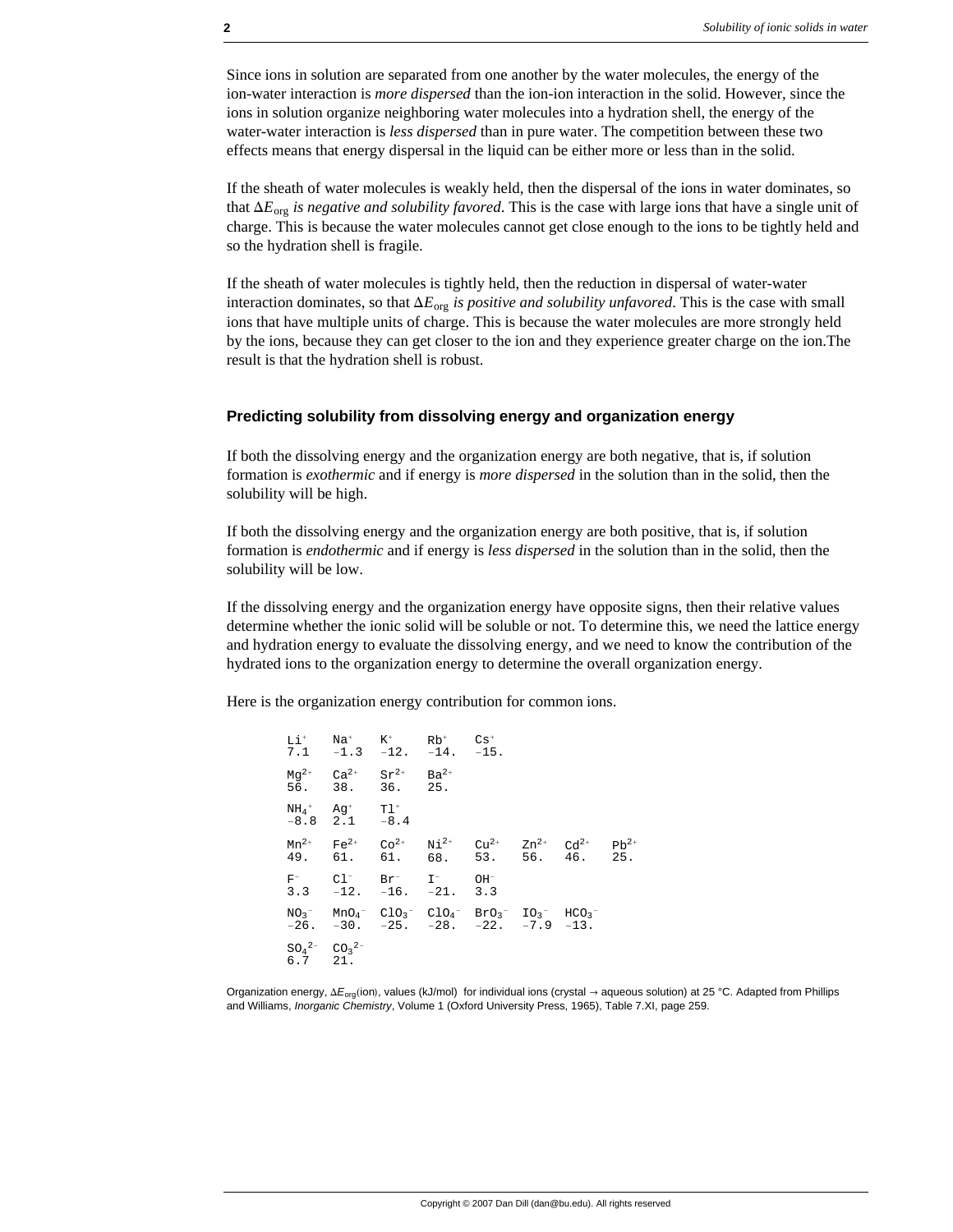Since ions in solution are separated from one another by the water molecules, the energy of the ion-water interaction is *more dispersed* than the ion-ion interaction in the solid. However, since the ions in solution organize neighboring water molecules into a hydration shell, the energy of the water-water interaction is *less dispersed* than in pure water. The competition between these two effects means that energy dispersal in the liquid can be either more or less than in the solid.

If the sheath of water molecules is weakly held, then the dispersal of the ions in water dominates, so that  $\Delta E_{\text{org}}$  *is negative and solubility favored*. This is the case with large ions that have a single unit of charge. This is because the water molecules cannot get close enough to the ions to be tightly held and so the hydration shell is fragile.

If the sheath of water molecules is tightly held, then the reduction in dispersal of water-water interaction dominates, so that  $\Delta E_{org}$  *is positive and solubility unfavored*. This is the case with small ions that have multiple units of charge. This is because the water molecules are more strongly held by the ions, because they can get closer to the ion and they experience greater charge on the ion.The result is that the hydration shell is robust.

#### **Predicting solubility from dissolving energy and organization energy**

If both the dissolving energy and the organization energy are both negative, that is, if solution formation is *exothermic* and if energy is *more dispersed* in the solution than in the solid, then the solubility will be high.

If both the dissolving energy and the organization energy are both positive, that is, if solution formation is *endothermic* and if energy is *less dispersed* in the solution than in the solid, then the solubility will be low.

If the dissolving energy and the organization energy have opposite signs, then their relative values determine whether the ionic solid will be soluble or not. To determine this, we need the lattice energy and hydration energy to evaluate the dissolving energy, and we need to know the contribution of the hydrated ions to the organization energy to determine the overall organization energy.

Here is the organization energy contribution for common ions.

 $Li<sup>+</sup>$ 7.1 Na<sup>+</sup>  $Na^+$  K<sup>+</sup><br>-1.3 -1  $K^+$  Rb<sup>+</sup><br>-12. -14 −14.  $Cs<sup>+</sup>$  $-15.$  $Mg^{2+}$ 56.  $Ca<sup>2+</sup>$ 38.  $Sr^{2+}$ 36.  $Ba^{2+}$ 25.  $NH_4$  $^+$ −8.8 Ag<sup>+</sup> 2.1  $T1^+$ −8.4  $Mn^{2+}$ 49.  $Fe<sup>2+</sup>$ 61.  $Co<sup>2+</sup>$ 61.  $\mathrm{Ni}^{\,2+}$ 68.  $Cu^{2+}$ <br>53.  $Zn^{2+}$ 56.  $Cd<sup>2+</sup>$ 46.  $Pb^{2+}$ 25. F− 3.3 Cl<sup>−</sup>  $Cl^-$  Br<sup>−</sup><br>-12. -16  $Br^{-}$  I<sup>-</sup><br>-16. -2 −21. OH<sup>−</sup> 3.3  $NO<sub>2</sub>$ − −26. MnO4<sup>−</sup> −30.  $C1O_3$ <sup>-</sup> −25.  $C1O<sub>4</sub>$ <sup>-</sup> −28. BrO3 − −22. IO3 − −7.9  $HCO<sub>3</sub>$ <sup>-</sup> −13.  $SO<sub>4</sub>$ <sup>2−</sup> 6.7  $CO<sub>3</sub>$ <sup>2−</sup> 21.

Organization energy, ΔE<sub>org</sub>(ion), values (kJ/mol) for individual ions (crystal → aqueous solution) at 25 °C. Adapted from Phillips and Williams, *Inorganic Chemistry*, Volume 1 (Oxford University Press, 1965), Table 7.XI, page 259.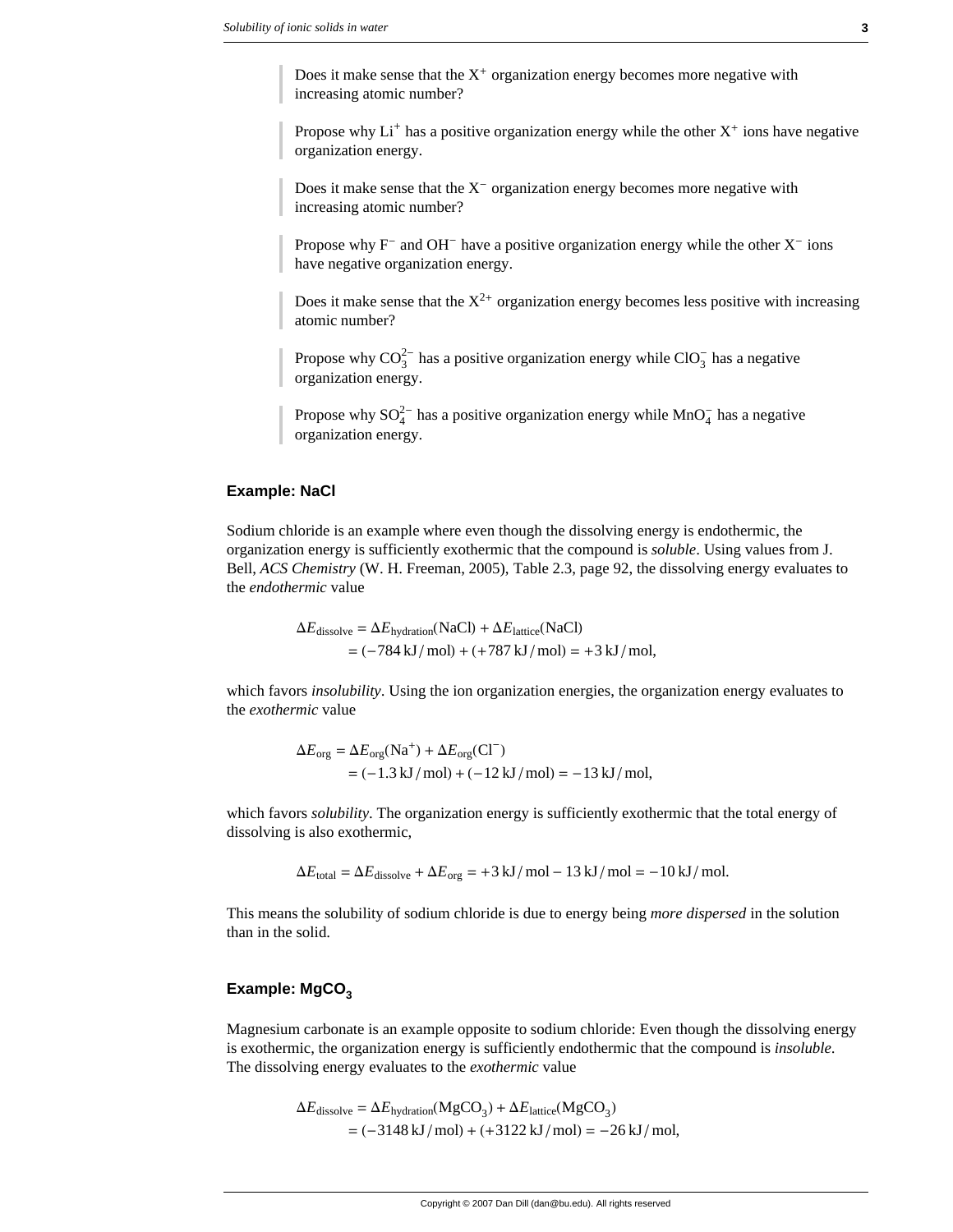Does it make sense that the  $X^+$  organization energy becomes more negative with increasing atomic number?

Propose why  $Li<sup>+</sup>$  has a positive organization energy while the other  $X<sup>+</sup>$  ions have negative organization energy.

Does it make sense that the  $X^-$  organization energy becomes more negative with increasing atomic number?

Propose why  $F^-$  and OH<sup>-</sup> have a positive organization energy while the other  $X^-$  ions have negative organization energy.

Does it make sense that the  $X^{2+}$  organization energy becomes less positive with increasing atomic number?

Propose why  $CO_3^{2-}$  has a positive organization energy while  $ClO_3^-$  has a negative organization energy.

Propose why  $SO_4^{2-}$  has a positive organization energy while  $MnO_4^-$  has a negative organization energy.

#### **Example: NaCl**

Sodium chloride is an example where even though the dissolving energy is endothermic, the organization energy is sufficiently exothermic that the compound is *soluble*. Using values from J. Bell, *ACS Chemistry* (W. H. Freeman, 2005), Table 2.3, page 92, the dissolving energy evaluates to the *endothermic* value

> $\Delta E_{\text{dissolve}} = \Delta E_{\text{hvidration}}(\text{NaCl}) + \Delta E_{\text{lattice}}(\text{NaCl})$  $= (-784 \text{ kJ/mol}) + (+787 \text{ kJ/mol}) = +3 \text{ kJ/mol},$

which favors *insolubility*. Using the ion organization energies, the organization energy evaluates to the *exothermic* value

$$
\Delta E_{\text{org}} = \Delta E_{\text{org}}(\text{Na}^+) + \Delta E_{\text{org}}(\text{Cl}^-)
$$
  
= (-1.3 kJ/mol) + (-12 kJ/mol) = -13 kJ/mol,

which favors *solubility*. The organization energy is sufficiently exothermic that the total energy of dissolving is also exothermic,

$$
\Delta E_{\text{total}} = \Delta E_{\text{dissolve}} + \Delta E_{\text{org}} = +3 \text{ kJ/mol} - 13 \text{ kJ/mol} = -10 \text{ kJ/mol}.
$$

This means the solubility of sodium chloride is due to energy being *more dispersed* in the solution than in the solid.

#### Example: MgCO<sub>3</sub>

Magnesium carbonate is an example opposite to sodium chloride: Even though the dissolving energy is exothermic, the organization energy is sufficiently endothermic that the compound is *insoluble*. The dissolving energy evaluates to the *exothermic* value

$$
\Delta E_{\text{dissolve}} = \Delta E_{\text{hydration}}(MgCO_3) + \Delta E_{\text{lattice}}(MgCO_3)
$$
  
= (-3148 kJ/mol) + (+3122 kJ/mol) = -26 kJ/mol,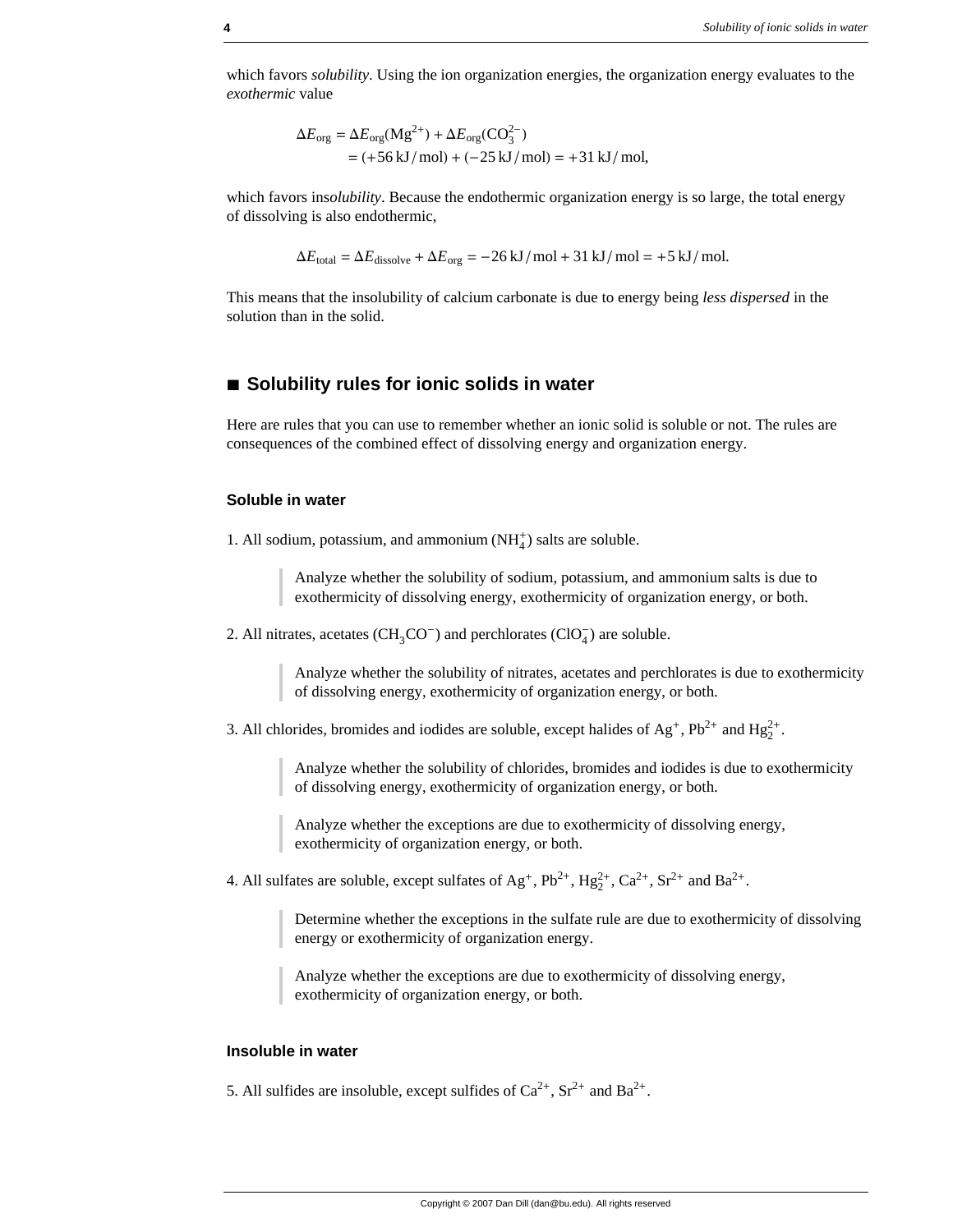which favors *solubility*. Using the ion organization energies, the organization energy evaluates to the *exothermic* value

$$
\Delta E_{\text{org}} = \Delta E_{\text{org}} (\text{Mg}^{2+}) + \Delta E_{\text{org}} (\text{CO}_3^{2-})
$$
  
= (+56 kJ/mol) + (-25 kJ/mol) = +31 kJ/mol,

which favors ins*olubility*. Because the endothermic organization energy is so large, the total energy of dissolving is also endothermic,

$$
\Delta E_{\text{total}} = \Delta E_{\text{dissolve}} + \Delta E_{\text{org}} = -26 \text{ kJ/mol} + 31 \text{ kJ/mol} = +5 \text{ kJ/mol}.
$$

This means that the insolubility of calcium carbonate is due to energy being *less dispersed* in the solution than in the solid.

## ■ Solubility rules for ionic solids in water

Here are rules that you can use to remember whether an ionic solid is soluble or not. The rules are consequences of the combined effect of dissolving energy and organization energy.

#### **Soluble in water**

1. All sodium, potassium, and ammonium  $(NH_4^+)$  salts are soluble.

Analyze whether the solubility of sodium, potassium, and ammonium salts is due to exothermicity of dissolving energy, exothermicity of organization energy, or both.

2. All nitrates, acetates  $(CH_3CO^-)$  and perchlorates  $(CIO_4^-)$  are soluble.

Analyze whether the solubility of nitrates, acetates and perchlorates is due to exothermicity of dissolving energy, exothermicity of organization energy, or both.

3. All chlorides, bromides and iodides are soluble, except halides of  $Ag^+$ ,  $Pb^{2+}$  and  $Hg_2^{2+}$ .

Analyze whether the solubility of chlorides, bromides and iodides is due to exothermicity of dissolving energy, exothermicity of organization energy, or both.

Analyze whether the exceptions are due to exothermicity of dissolving energy, exothermicity of organization energy, or both.

4. All sulfates are soluble, except sulfates of  $Ag^+$ ,  $Pb^{2+}$ ,  $Hg_2^{2+}$ ,  $Ca^{2+}$ ,  $Sr^{2+}$  and  $Ba^{2+}$ .

Determine whether the exceptions in the sulfate rule are due to exothermicity of dissolving energy or exothermicity of organization energy.

Analyze whether the exceptions are due to exothermicity of dissolving energy, exothermicity of organization energy, or both.

#### **Insoluble in water**

5. All sulfides are insoluble, except sulfides of  $Ca^{2+}$ ,  $Sr^{2+}$  and  $Ba^{2+}$ .